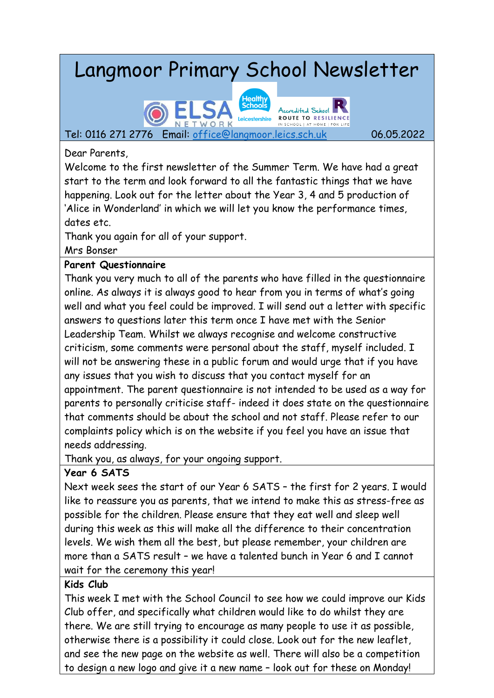# Langmoor Primary School Newsletter



Dear Parents,

Welcome to the first newsletter of the Summer Term. We have had a great start to the term and look forward to all the fantastic things that we have happening. Look out for the letter about the Year 3, 4 and 5 production of 'Alice in Wonderland' in which we will let you know the performance times, dates etc.

Thank you again for all of your support.

Mrs Bonser

#### **Parent Questionnaire**

Thank you very much to all of the parents who have filled in the questionnaire online. As always it is always good to hear from you in terms of what's going well and what you feel could be improved. I will send out a letter with specific answers to questions later this term once I have met with the Senior Leadership Team. Whilst we always recognise and welcome constructive criticism, some comments were personal about the staff, myself included. I will not be answering these in a public forum and would urge that if you have any issues that you wish to discuss that you contact myself for an appointment. The parent questionnaire is not intended to be used as a way for parents to personally criticise staff- indeed it does state on the questionnaire that comments should be about the school and not staff. Please refer to our complaints policy which is on the website if you feel you have an issue that needs addressing.

Thank you, as always, for your ongoing support.

## **Year 6 SATS**

Next week sees the start of our Year 6 SATS – the first for 2 years. I would like to reassure you as parents, that we intend to make this as stress-free as possible for the children. Please ensure that they eat well and sleep well during this week as this will make all the difference to their concentration levels. We wish them all the best, but please remember, your children are more than a SATS result – we have a talented bunch in Year 6 and I cannot wait for the ceremony this year!

## **Kids Club**

This week I met with the School Council to see how we could improve our Kids Club offer, and specifically what children would like to do whilst they are there. We are still trying to encourage as many people to use it as possible, otherwise there is a possibility it could close. Look out for the new leaflet, and see the new page on the website as well. There will also be a competition to design a new logo and give it a new name – look out for these on Monday!